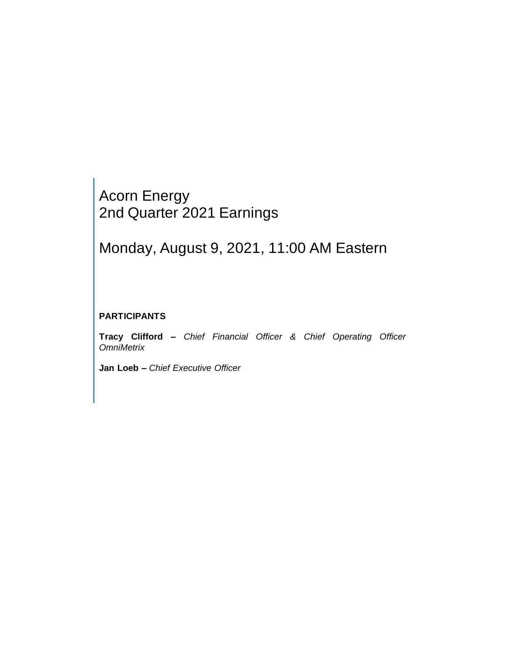## Acorn Energy 2nd Quarter 2021 Earnings

# Monday, August 9, 2021, 11:00 AM Eastern

### **PARTICIPANTS**

**Tracy Clifford –** *Chief Financial Officer & Chief Operating Officer OmniMetrix* 

**Jan Loeb –** *Chief Executive Officer*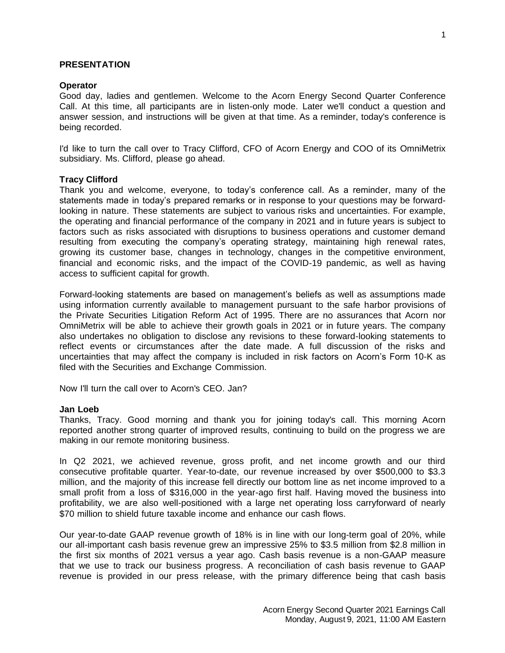#### **PRESENTATION**

#### **Operator**

Good day, ladies and gentlemen. Welcome to the Acorn Energy Second Quarter Conference Call. At this time, all participants are in listen-only mode. Later we'll conduct a question and answer session, and instructions will be given at that time. As a reminder, today's conference is being recorded.

I'd like to turn the call over to Tracy Clifford, CFO of Acorn Energy and COO of its OmniMetrix subsidiary. Ms. Clifford, please go ahead.

#### **Tracy Clifford**

Thank you and welcome, everyone, to today's conference call. As a reminder, many of the statements made in today's prepared remarks or in response to your questions may be forwardlooking in nature. These statements are subject to various risks and uncertainties. For example, the operating and financial performance of the company in 2021 and in future years is subject to factors such as risks associated with disruptions to business operations and customer demand resulting from executing the company's operating strategy, maintaining high renewal rates, growing its customer base, changes in technology, changes in the competitive environment, financial and economic risks, and the impact of the COVID-19 pandemic, as well as having access to sufficient capital for growth.

Forward-looking statements are based on management's beliefs as well as assumptions made using information currently available to management pursuant to the safe harbor provisions of the Private Securities Litigation Reform Act of 1995. There are no assurances that Acorn nor OmniMetrix will be able to achieve their growth goals in 2021 or in future years. The company also undertakes no obligation to disclose any revisions to these forward-looking statements to reflect events or circumstances after the date made. A full discussion of the risks and uncertainties that may affect the company is included in risk factors on Acorn's Form 10-K as filed with the Securities and Exchange Commission.

Now I'll turn the call over to Acorn's CEO. Jan?

#### **Jan Loeb**

Thanks, Tracy. Good morning and thank you for joining today's call. This morning Acorn reported another strong quarter of improved results, continuing to build on the progress we are making in our remote monitoring business.

In Q2 2021, we achieved revenue, gross profit, and net income growth and our third consecutive profitable quarter. Year-to-date, our revenue increased by over \$500,000 to \$3.3 million, and the majority of this increase fell directly our bottom line as net income improved to a small profit from a loss of \$316,000 in the year-ago first half. Having moved the business into profitability, we are also well-positioned with a large net operating loss carryforward of nearly \$70 million to shield future taxable income and enhance our cash flows.

Our year-to-date GAAP revenue growth of 18% is in line with our long-term goal of 20%, while our all-important cash basis revenue grew an impressive 25% to \$3.5 million from \$2.8 million in the first six months of 2021 versus a year ago. Cash basis revenue is a non-GAAP measure that we use to track our business progress. A reconciliation of cash basis revenue to GAAP revenue is provided in our press release, with the primary difference being that cash basis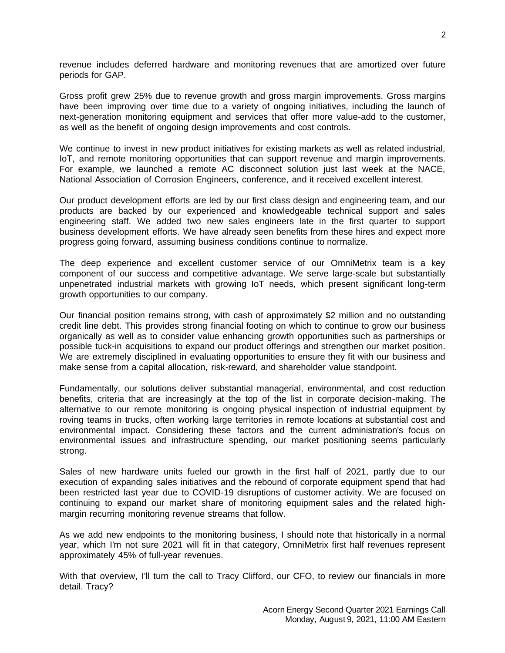revenue includes deferred hardware and monitoring revenues that are amortized over future periods for GAP.

Gross profit grew 25% due to revenue growth and gross margin improvements. Gross margins have been improving over time due to a variety of ongoing initiatives, including the launch of next-generation monitoring equipment and services that offer more value-add to the customer, as well as the benefit of ongoing design improvements and cost controls.

We continue to invest in new product initiatives for existing markets as well as related industrial, IoT, and remote monitoring opportunities that can support revenue and margin improvements. For example, we launched a remote AC disconnect solution just last week at the NACE, National Association of Corrosion Engineers, conference, and it received excellent interest.

Our product development efforts are led by our first class design and engineering team, and our products are backed by our experienced and knowledgeable technical support and sales engineering staff. We added two new sales engineers late in the first quarter to support business development efforts. We have already seen benefits from these hires and expect more progress going forward, assuming business conditions continue to normalize.

The deep experience and excellent customer service of our OmniMetrix team is a key component of our success and competitive advantage. We serve large-scale but substantially unpenetrated industrial markets with growing IoT needs, which present significant long-term growth opportunities to our company.

Our financial position remains strong, with cash of approximately \$2 million and no outstanding credit line debt. This provides strong financial footing on which to continue to grow our business organically as well as to consider value enhancing growth opportunities such as partnerships or possible tuck-in acquisitions to expand our product offerings and strengthen our market position. We are extremely disciplined in evaluating opportunities to ensure they fit with our business and make sense from a capital allocation, risk-reward, and shareholder value standpoint.

Fundamentally, our solutions deliver substantial managerial, environmental, and cost reduction benefits, criteria that are increasingly at the top of the list in corporate decision-making. The alternative to our remote monitoring is ongoing physical inspection of industrial equipment by roving teams in trucks, often working large territories in remote locations at substantial cost and environmental impact. Considering these factors and the current administration's focus on environmental issues and infrastructure spending, our market positioning seems particularly strong.

Sales of new hardware units fueled our growth in the first half of 2021, partly due to our execution of expanding sales initiatives and the rebound of corporate equipment spend that had been restricted last year due to COVID-19 disruptions of customer activity. We are focused on continuing to expand our market share of monitoring equipment sales and the related highmargin recurring monitoring revenue streams that follow.

As we add new endpoints to the monitoring business, I should note that historically in a normal year, which I'm not sure 2021 will fit in that category, OmniMetrix first half revenues represent approximately 45% of full-year revenues.

With that overview, I'll turn the call to Tracy Clifford, our CFO, to review our financials in more detail. Tracy?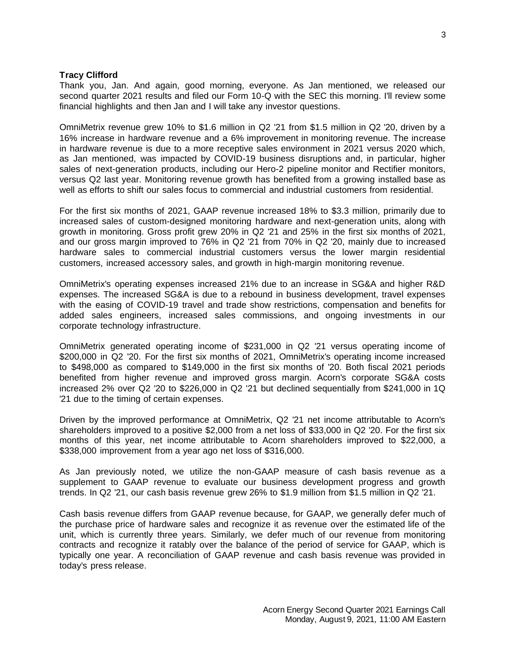#### **Tracy Clifford**

Thank you, Jan. And again, good morning, everyone. As Jan mentioned, we released our second quarter 2021 results and filed our Form 10-Q with the SEC this morning. I'll review some financial highlights and then Jan and I will take any investor questions.

OmniMetrix revenue grew 10% to \$1.6 million in Q2 '21 from \$1.5 million in Q2 '20, driven by a 16% increase in hardware revenue and a 6% improvement in monitoring revenue. The increase in hardware revenue is due to a more receptive sales environment in 2021 versus 2020 which, as Jan mentioned, was impacted by COVID-19 business disruptions and, in particular, higher sales of next-generation products, including our Hero-2 pipeline monitor and Rectifier monitors, versus Q2 last year. Monitoring revenue growth has benefited from a growing installed base as well as efforts to shift our sales focus to commercial and industrial customers from residential.

For the first six months of 2021, GAAP revenue increased 18% to \$3.3 million, primarily due to increased sales of custom-designed monitoring hardware and next-generation units, along with growth in monitoring. Gross profit grew 20% in Q2 '21 and 25% in the first six months of 2021, and our gross margin improved to 76% in Q2 '21 from 70% in Q2 '20, mainly due to increased hardware sales to commercial industrial customers versus the lower margin residential customers, increased accessory sales, and growth in high-margin monitoring revenue.

OmniMetrix's operating expenses increased 21% due to an increase in SG&A and higher R&D expenses. The increased SG&A is due to a rebound in business development, travel expenses with the easing of COVID-19 travel and trade show restrictions, compensation and benefits for added sales engineers, increased sales commissions, and ongoing investments in our corporate technology infrastructure.

OmniMetrix generated operating income of \$231,000 in Q2 '21 versus operating income of \$200,000 in Q2 '20. For the first six months of 2021, OmniMetrix's operating income increased to \$498,000 as compared to \$149,000 in the first six months of '20. Both fiscal 2021 periods benefited from higher revenue and improved gross margin. Acorn's corporate SG&A costs increased 2% over Q2 '20 to \$226,000 in Q2 '21 but declined sequentially from \$241,000 in 1Q '21 due to the timing of certain expenses.

Driven by the improved performance at OmniMetrix, Q2 '21 net income attributable to Acorn's shareholders improved to a positive \$2,000 from a net loss of \$33,000 in Q2 '20. For the first six months of this year, net income attributable to Acorn shareholders improved to \$22,000, a \$338,000 improvement from a year ago net loss of \$316,000.

As Jan previously noted, we utilize the non-GAAP measure of cash basis revenue as a supplement to GAAP revenue to evaluate our business development progress and growth trends. In Q2 '21, our cash basis revenue grew 26% to \$1.9 million from \$1.5 million in Q2 '21.

Cash basis revenue differs from GAAP revenue because, for GAAP, we generally defer much of the purchase price of hardware sales and recognize it as revenue over the estimated life of the unit, which is currently three years. Similarly, we defer much of our revenue from monitoring contracts and recognize it ratably over the balance of the period of service for GAAP, which is typically one year. A reconciliation of GAAP revenue and cash basis revenue was provided in today's press release.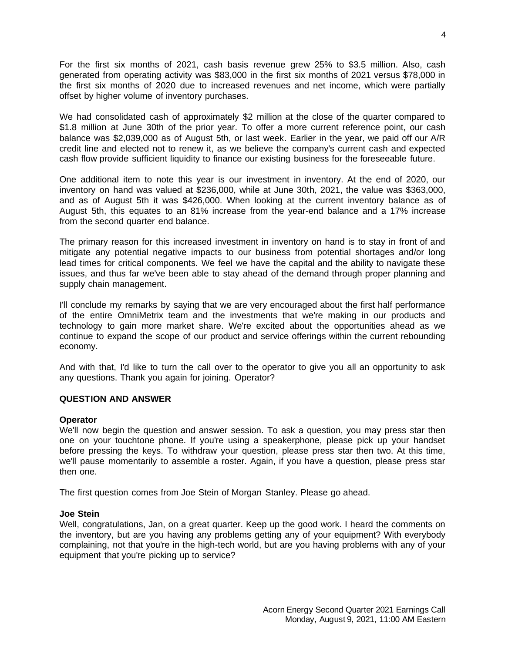For the first six months of 2021, cash basis revenue grew 25% to \$3.5 million. Also, cash generated from operating activity was \$83,000 in the first six months of 2021 versus \$78,000 in the first six months of 2020 due to increased revenues and net income, which were partially offset by higher volume of inventory purchases.

We had consolidated cash of approximately \$2 million at the close of the quarter compared to \$1.8 million at June 30th of the prior year. To offer a more current reference point, our cash balance was \$2,039,000 as of August 5th, or last week. Earlier in the year, we paid off our A/R credit line and elected not to renew it, as we believe the company's current cash and expected cash flow provide sufficient liquidity to finance our existing business for the foreseeable future.

One additional item to note this year is our investment in inventory. At the end of 2020, our inventory on hand was valued at \$236,000, while at June 30th, 2021, the value was \$363,000, and as of August 5th it was \$426,000. When looking at the current inventory balance as of August 5th, this equates to an 81% increase from the year-end balance and a 17% increase from the second quarter end balance.

The primary reason for this increased investment in inventory on hand is to stay in front of and mitigate any potential negative impacts to our business from potential shortages and/or long lead times for critical components. We feel we have the capital and the ability to navigate these issues, and thus far we've been able to stay ahead of the demand through proper planning and supply chain management.

I'll conclude my remarks by saying that we are very encouraged about the first half performance of the entire OmniMetrix team and the investments that we're making in our products and technology to gain more market share. We're excited about the opportunities ahead as we continue to expand the scope of our product and service offerings within the current rebounding economy.

And with that, I'd like to turn the call over to the operator to give you all an opportunity to ask any questions. Thank you again for joining. Operator?

#### **QUESTION AND ANSWER**

#### **Operator**

We'll now begin the question and answer session. To ask a question, you may press star then one on your touchtone phone. If you're using a speakerphone, please pick up your handset before pressing the keys. To withdraw your question, please press star then two. At this time, we'll pause momentarily to assemble a roster. Again, if you have a question, please press star then one.

The first question comes from Joe Stein of Morgan Stanley. Please go ahead.

#### **Joe Stein**

Well, congratulations, Jan, on a great quarter. Keep up the good work. I heard the comments on the inventory, but are you having any problems getting any of your equipment? With everybody complaining, not that you're in the high-tech world, but are you having problems with any of your equipment that you're picking up to service?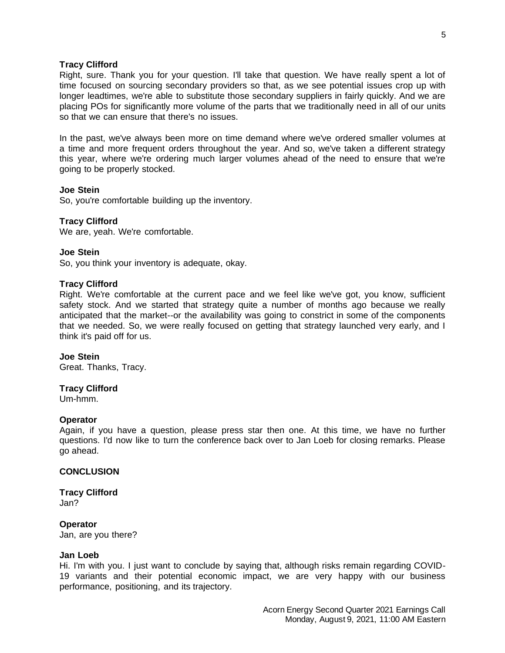#### **Tracy Clifford**

Right, sure. Thank you for your question. I'll take that question. We have really spent a lot of time focused on sourcing secondary providers so that, as we see potential issues crop up with longer leadtimes, we're able to substitute those secondary suppliers in fairly quickly. And we are placing POs for significantly more volume of the parts that we traditionally need in all of our units so that we can ensure that there's no issues.

In the past, we've always been more on time demand where we've ordered smaller volumes at a time and more frequent orders throughout the year. And so, we've taken a different strategy this year, where we're ordering much larger volumes ahead of the need to ensure that we're going to be properly stocked.

#### **Joe Stein**

So, you're comfortable building up the inventory.

#### **Tracy Clifford**

We are, yeah. We're comfortable.

#### **Joe Stein**

So, you think your inventory is adequate, okay.

#### **Tracy Clifford**

Right. We're comfortable at the current pace and we feel like we've got, you know, sufficient safety stock. And we started that strategy quite a number of months ago because we really anticipated that the market--or the availability was going to constrict in some of the components that we needed. So, we were really focused on getting that strategy launched very early, and I think it's paid off for us.

#### **Joe Stein**

Great. Thanks, Tracy.

#### **Tracy Clifford**

Um-hmm.

#### **Operator**

Again, if you have a question, please press star then one. At this time, we have no further questions. I'd now like to turn the conference back over to Jan Loeb for closing remarks. Please go ahead.

#### **CONCLUSION**

**Tracy Clifford** Jan?

#### **Operator**

Jan, are you there?

#### **Jan Loeb**

Hi. I'm with you. I just want to conclude by saying that, although risks remain regarding COVID-19 variants and their potential economic impact, we are very happy with our business performance, positioning, and its trajectory.